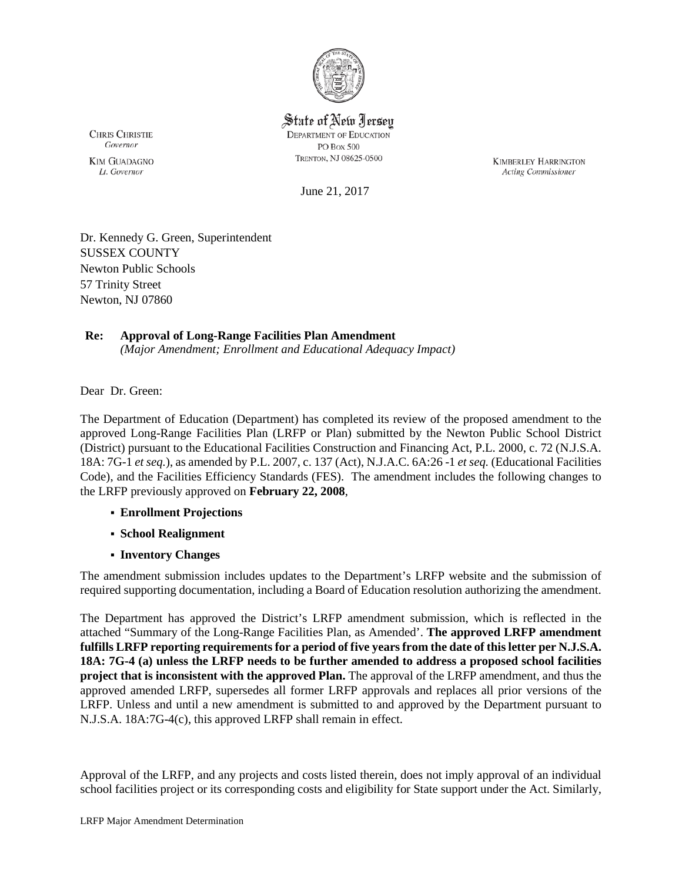

State of New Jersey **DEPARTMENT OF EDUCATION** PO Box 500 TRENTON, NJ 08625-0500

**KIMBERLEY HARRINGTON** Acting Commissioner

Governor **KIM GUADAGNO** Lt. Governor

**CHRIS CHRISTIE** 

June 21, 2017

Dr. Kennedy G. Green, Superintendent SUSSEX COUNTY Newton Public Schools 57 Trinity Street Newton, NJ 07860

## **Re: Approval of Long-Range Facilities Plan Amendment**

*(Major Amendment; Enrollment and Educational Adequacy Impact)*

Dear Dr. Green:

The Department of Education (Department) has completed its review of the proposed amendment to the approved Long-Range Facilities Plan (LRFP or Plan) submitted by the Newton Public School District (District) pursuant to the Educational Facilities Construction and Financing Act, P.L. 2000, c. 72 (N.J.S.A. 18A: 7G-1 *et seq.*), as amended by P.L. 2007, c. 137 (Act), N.J.A.C. 6A:26 -1 *et seq.* (Educational Facilities Code), and the Facilities Efficiency Standards (FES). The amendment includes the following changes to the LRFP previously approved on **February 22, 2008**,

- **Enrollment Projections**
- **School Realignment**
- **Inventory Changes**

The amendment submission includes updates to the Department's LRFP website and the submission of required supporting documentation, including a Board of Education resolution authorizing the amendment.

The Department has approved the District's LRFP amendment submission, which is reflected in the attached "Summary of the Long-Range Facilities Plan, as Amended'. **The approved LRFP amendment fulfills LRFP reporting requirements for a period of five years from the date of this letter per N.J.S.A. 18A: 7G-4 (a) unless the LRFP needs to be further amended to address a proposed school facilities project that is inconsistent with the approved Plan.** The approval of the LRFP amendment, and thus the approved amended LRFP, supersedes all former LRFP approvals and replaces all prior versions of the LRFP. Unless and until a new amendment is submitted to and approved by the Department pursuant to N.J.S.A. 18A:7G-4(c), this approved LRFP shall remain in effect.

Approval of the LRFP, and any projects and costs listed therein, does not imply approval of an individual school facilities project or its corresponding costs and eligibility for State support under the Act. Similarly,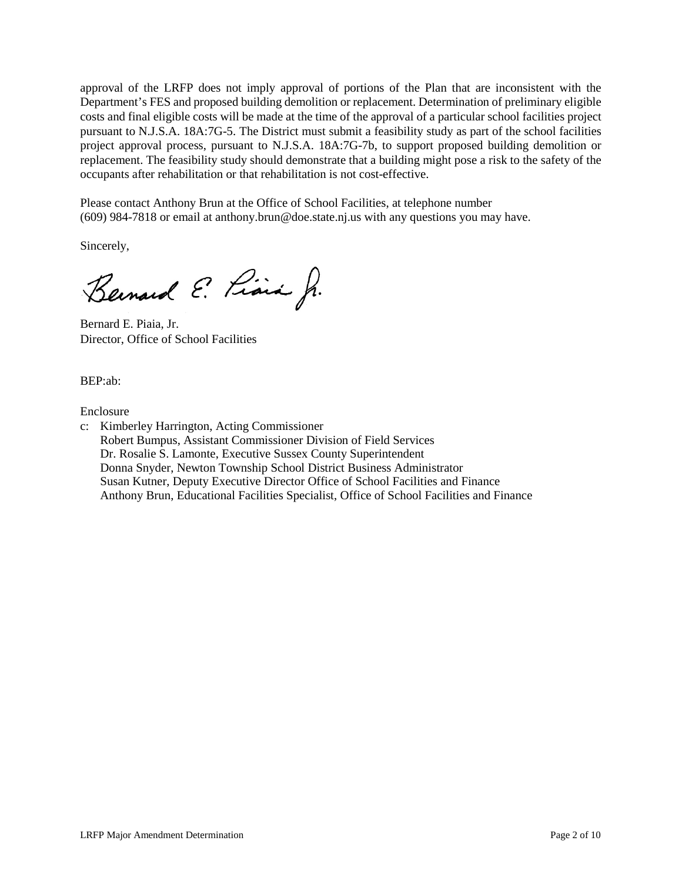approval of the LRFP does not imply approval of portions of the Plan that are inconsistent with the Department's FES and proposed building demolition or replacement. Determination of preliminary eligible costs and final eligible costs will be made at the time of the approval of a particular school facilities project pursuant to N.J.S.A. 18A:7G-5. The District must submit a feasibility study as part of the school facilities project approval process, pursuant to N.J.S.A. 18A:7G-7b, to support proposed building demolition or replacement. The feasibility study should demonstrate that a building might pose a risk to the safety of the occupants after rehabilitation or that rehabilitation is not cost-effective.

Please contact Anthony Brun at the Office of School Facilities, at telephone number (609) 984-7818 or email at anthony.brun@doe.state.nj.us with any questions you may have.

Sincerely,

Bernard E. Piara Jr.

Bernard E. Piaia, Jr. Director, Office of School Facilities

BEP:ab:

Enclosure

c: Kimberley Harrington, Acting Commissioner Robert Bumpus, Assistant Commissioner Division of Field Services Dr. Rosalie S. Lamonte, Executive Sussex County Superintendent Donna Snyder, Newton Township School District Business Administrator Susan Kutner, Deputy Executive Director Office of School Facilities and Finance Anthony Brun, Educational Facilities Specialist, Office of School Facilities and Finance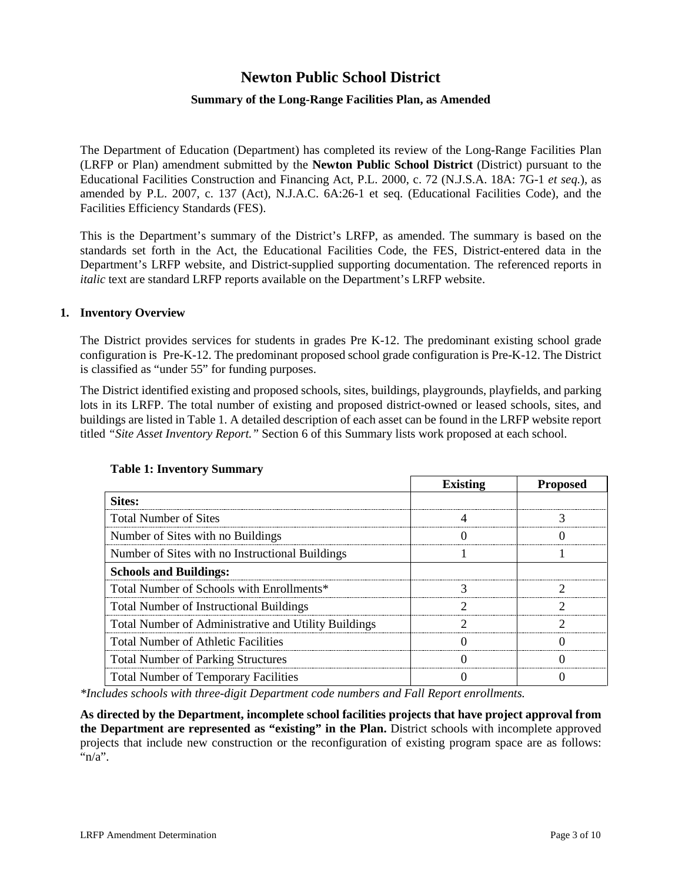# **Newton Public School District**

## **Summary of the Long-Range Facilities Plan, as Amended**

The Department of Education (Department) has completed its review of the Long-Range Facilities Plan (LRFP or Plan) amendment submitted by the **Newton Public School District** (District) pursuant to the Educational Facilities Construction and Financing Act, P.L. 2000, c. 72 (N.J.S.A. 18A: 7G-1 *et seq.*), as amended by P.L. 2007, c. 137 (Act), N.J.A.C. 6A:26-1 et seq. (Educational Facilities Code), and the Facilities Efficiency Standards (FES).

This is the Department's summary of the District's LRFP, as amended. The summary is based on the standards set forth in the Act, the Educational Facilities Code, the FES, District-entered data in the Department's LRFP website, and District-supplied supporting documentation. The referenced reports in *italic* text are standard LRFP reports available on the Department's LRFP website.

#### **1. Inventory Overview**

The District provides services for students in grades Pre K-12. The predominant existing school grade configuration is Pre-K-12. The predominant proposed school grade configuration is Pre-K-12. The District is classified as "under 55" for funding purposes.

The District identified existing and proposed schools, sites, buildings, playgrounds, playfields, and parking lots in its LRFP. The total number of existing and proposed district-owned or leased schools, sites, and buildings are listed in Table 1. A detailed description of each asset can be found in the LRFP website report titled *"Site Asset Inventory Report."* Section 6 of this Summary lists work proposed at each school.

|                                                      | <b>Existing</b> | <b>Proposed</b> |  |
|------------------------------------------------------|-----------------|-----------------|--|
| <b>Sites:</b>                                        |                 |                 |  |
| <b>Total Number of Sites</b>                         |                 |                 |  |
| Number of Sites with no Buildings                    |                 |                 |  |
| Number of Sites with no Instructional Buildings      |                 |                 |  |
| <b>Schools and Buildings:</b>                        |                 |                 |  |
| Total Number of Schools with Enrollments*            |                 |                 |  |
| <b>Total Number of Instructional Buildings</b>       |                 |                 |  |
| Total Number of Administrative and Utility Buildings |                 |                 |  |
| <b>Total Number of Athletic Facilities</b>           |                 |                 |  |
| <b>Total Number of Parking Structures</b>            |                 |                 |  |
| <b>Total Number of Temporary Facilities</b>          |                 |                 |  |

#### **Table 1: Inventory Summary**

*\*Includes schools with three-digit Department code numbers and Fall Report enrollments.*

**As directed by the Department, incomplete school facilities projects that have project approval from the Department are represented as "existing" in the Plan.** District schools with incomplete approved projects that include new construction or the reconfiguration of existing program space are as follows: " $n/a$ ".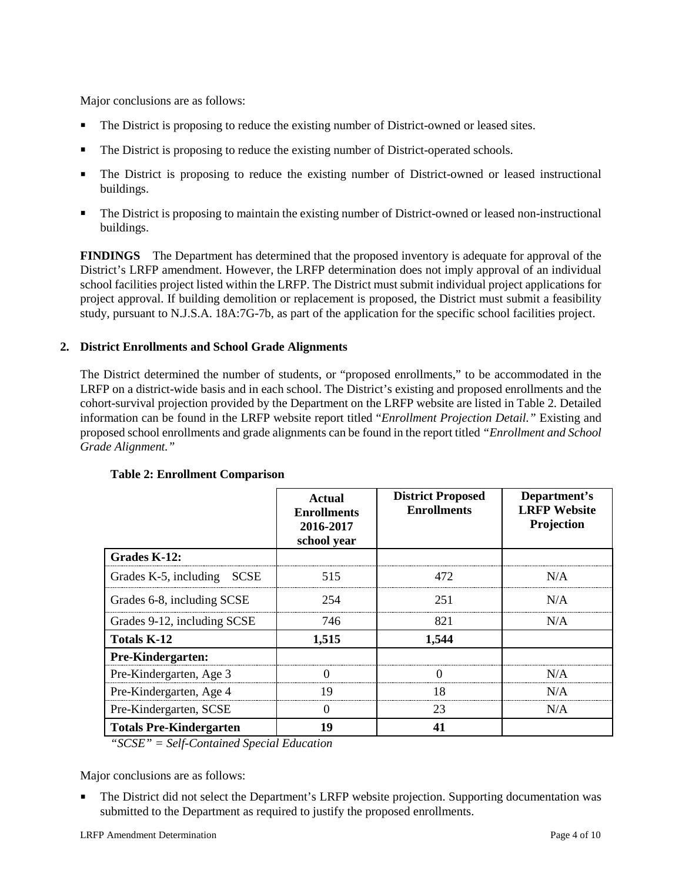Major conclusions are as follows:

- The District is proposing to reduce the existing number of District-owned or leased sites.
- The District is proposing to reduce the existing number of District-operated schools.
- The District is proposing to reduce the existing number of District-owned or leased instructional buildings.
- The District is proposing to maintain the existing number of District-owned or leased non-instructional buildings.

**FINDINGS** The Department has determined that the proposed inventory is adequate for approval of the District's LRFP amendment. However, the LRFP determination does not imply approval of an individual school facilities project listed within the LRFP. The District must submit individual project applications for project approval. If building demolition or replacement is proposed, the District must submit a feasibility study, pursuant to N.J.S.A. 18A:7G-7b, as part of the application for the specific school facilities project.

## **2. District Enrollments and School Grade Alignments**

The District determined the number of students, or "proposed enrollments," to be accommodated in the LRFP on a district-wide basis and in each school. The District's existing and proposed enrollments and the cohort-survival projection provided by the Department on the LRFP website are listed in Table 2. Detailed information can be found in the LRFP website report titled "*Enrollment Projection Detail."* Existing and proposed school enrollments and grade alignments can be found in the report titled *"Enrollment and School Grade Alignment."*

|                                | Actual<br><b>Enrollments</b><br>2016-2017<br>school year | <b>District Proposed</b><br><b>Enrollments</b> | Department's<br><b>LRFP</b> Website<br>Projection |
|--------------------------------|----------------------------------------------------------|------------------------------------------------|---------------------------------------------------|
| Grades K-12:                   |                                                          |                                                |                                                   |
| Grades K-5, including SCSE     | 515                                                      | 472                                            | N/A                                               |
| Grades 6-8, including SCSE     | 254                                                      | 251                                            | N/A                                               |
| Grades 9-12, including SCSE    | 746.                                                     | 821                                            | N/A                                               |
| <b>Totals K-12</b>             | 1,515                                                    | 1,544                                          |                                                   |
| <b>Pre-Kindergarten:</b>       |                                                          |                                                |                                                   |
| Pre-Kindergarten, Age 3        |                                                          |                                                | N/A                                               |
| Pre-Kindergarten, Age 4        | 19                                                       | 18                                             | N/A                                               |
| Pre-Kindergarten, SCSE         | $\Omega$                                                 | 23<br>N/A                                      |                                                   |
| <b>Totals Pre-Kindergarten</b> | 19                                                       |                                                |                                                   |

# **Table 2: Enrollment Comparison**

*"SCSE" = Self-Contained Special Education*

Major conclusions are as follows:

 The District did not select the Department's LRFP website projection. Supporting documentation was submitted to the Department as required to justify the proposed enrollments.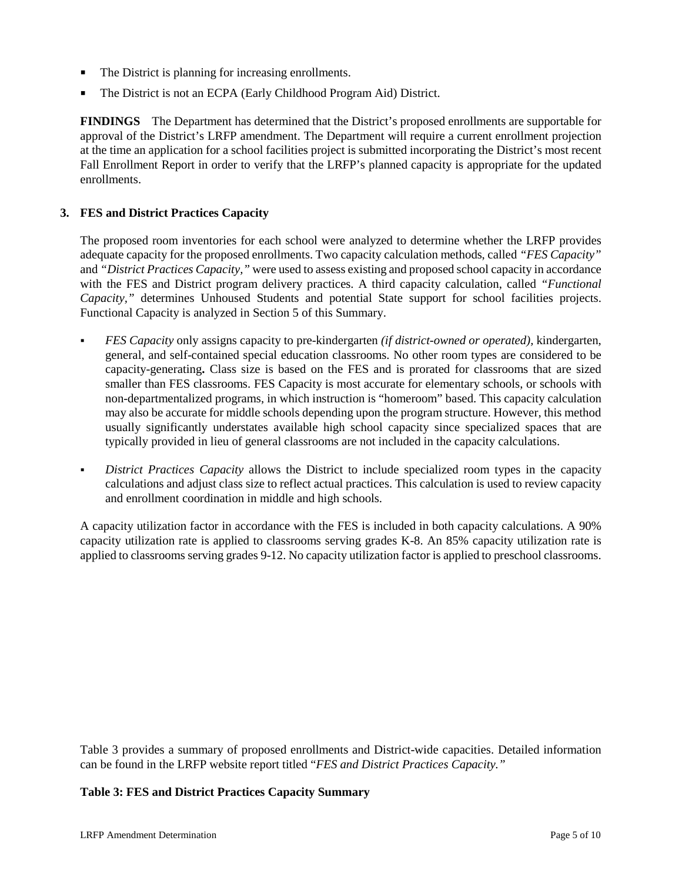- The District is planning for increasing enrollments.
- The District is not an ECPA (Early Childhood Program Aid) District.

**FINDINGS** The Department has determined that the District's proposed enrollments are supportable for approval of the District's LRFP amendment. The Department will require a current enrollment projection at the time an application for a school facilities project is submitted incorporating the District's most recent Fall Enrollment Report in order to verify that the LRFP's planned capacity is appropriate for the updated enrollments.

#### **3. FES and District Practices Capacity**

The proposed room inventories for each school were analyzed to determine whether the LRFP provides adequate capacity for the proposed enrollments. Two capacity calculation methods, called *"FES Capacity"* and *"District Practices Capacity,"* were used to assess existing and proposed school capacity in accordance with the FES and District program delivery practices. A third capacity calculation, called *"Functional Capacity,"* determines Unhoused Students and potential State support for school facilities projects. Functional Capacity is analyzed in Section 5 of this Summary.

- *FES Capacity* only assigns capacity to pre-kindergarten *(if district-owned or operated),* kindergarten, general, and self-contained special education classrooms. No other room types are considered to be capacity-generating**.** Class size is based on the FES and is prorated for classrooms that are sized smaller than FES classrooms. FES Capacity is most accurate for elementary schools, or schools with non-departmentalized programs, in which instruction is "homeroom" based. This capacity calculation may also be accurate for middle schools depending upon the program structure. However, this method usually significantly understates available high school capacity since specialized spaces that are typically provided in lieu of general classrooms are not included in the capacity calculations.
- *District Practices Capacity* allows the District to include specialized room types in the capacity calculations and adjust class size to reflect actual practices. This calculation is used to review capacity and enrollment coordination in middle and high schools.

A capacity utilization factor in accordance with the FES is included in both capacity calculations. A 90% capacity utilization rate is applied to classrooms serving grades K-8. An 85% capacity utilization rate is applied to classrooms serving grades 9-12. No capacity utilization factor is applied to preschool classrooms.

Table 3 provides a summary of proposed enrollments and District-wide capacities. Detailed information can be found in the LRFP website report titled "*FES and District Practices Capacity."*

#### **Table 3: FES and District Practices Capacity Summary**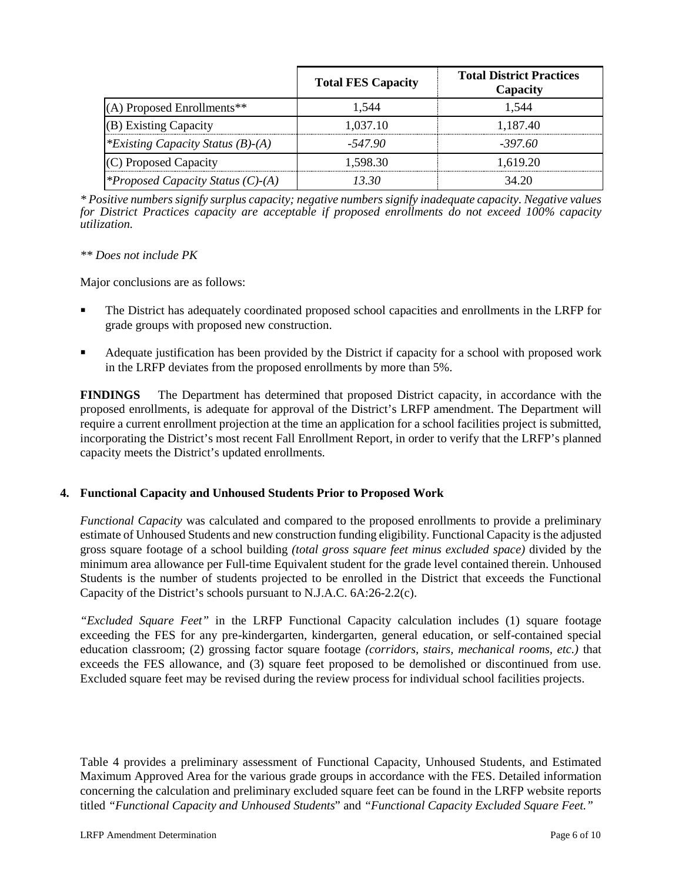|                                          | <b>Total FES Capacity</b> | <b>Total District Practices</b><br>Capacity |
|------------------------------------------|---------------------------|---------------------------------------------|
| (A) Proposed Enrollments**               | 1.544                     | 1.544                                       |
| (B) Existing Capacity                    | 1.037.10                  | 1,187.40                                    |
| *Existing Capacity Status $(B)$ - $(A)$  | -547 90                   | -397.60                                     |
| (C) Proposed Capacity                    | 1.598.30                  | 1.619.20                                    |
| <i>*Proposed Capacity Status (C)-(A)</i> | 13 30                     | 34.20                                       |

*\* Positive numbers signify surplus capacity; negative numbers signify inadequate capacity. Negative values for District Practices capacity are acceptable if proposed enrollments do not exceed 100% capacity utilization.*

#### *\*\* Does not include PK*

Major conclusions are as follows:

- The District has adequately coordinated proposed school capacities and enrollments in the LRFP for grade groups with proposed new construction.
- Adequate justification has been provided by the District if capacity for a school with proposed work in the LRFP deviates from the proposed enrollments by more than 5%.

**FINDINGS** The Department has determined that proposed District capacity, in accordance with the proposed enrollments, is adequate for approval of the District's LRFP amendment. The Department will require a current enrollment projection at the time an application for a school facilities project is submitted, incorporating the District's most recent Fall Enrollment Report, in order to verify that the LRFP's planned capacity meets the District's updated enrollments.

# **4. Functional Capacity and Unhoused Students Prior to Proposed Work**

*Functional Capacity* was calculated and compared to the proposed enrollments to provide a preliminary estimate of Unhoused Students and new construction funding eligibility. Functional Capacity is the adjusted gross square footage of a school building *(total gross square feet minus excluded space)* divided by the minimum area allowance per Full-time Equivalent student for the grade level contained therein. Unhoused Students is the number of students projected to be enrolled in the District that exceeds the Functional Capacity of the District's schools pursuant to N.J.A.C. 6A:26-2.2(c).

*"Excluded Square Feet"* in the LRFP Functional Capacity calculation includes (1) square footage exceeding the FES for any pre-kindergarten, kindergarten, general education, or self-contained special education classroom; (2) grossing factor square footage *(corridors, stairs, mechanical rooms, etc.)* that exceeds the FES allowance, and (3) square feet proposed to be demolished or discontinued from use. Excluded square feet may be revised during the review process for individual school facilities projects.

Table 4 provides a preliminary assessment of Functional Capacity, Unhoused Students, and Estimated Maximum Approved Area for the various grade groups in accordance with the FES. Detailed information concerning the calculation and preliminary excluded square feet can be found in the LRFP website reports titled *"Functional Capacity and Unhoused Students*" and *"Functional Capacity Excluded Square Feet."*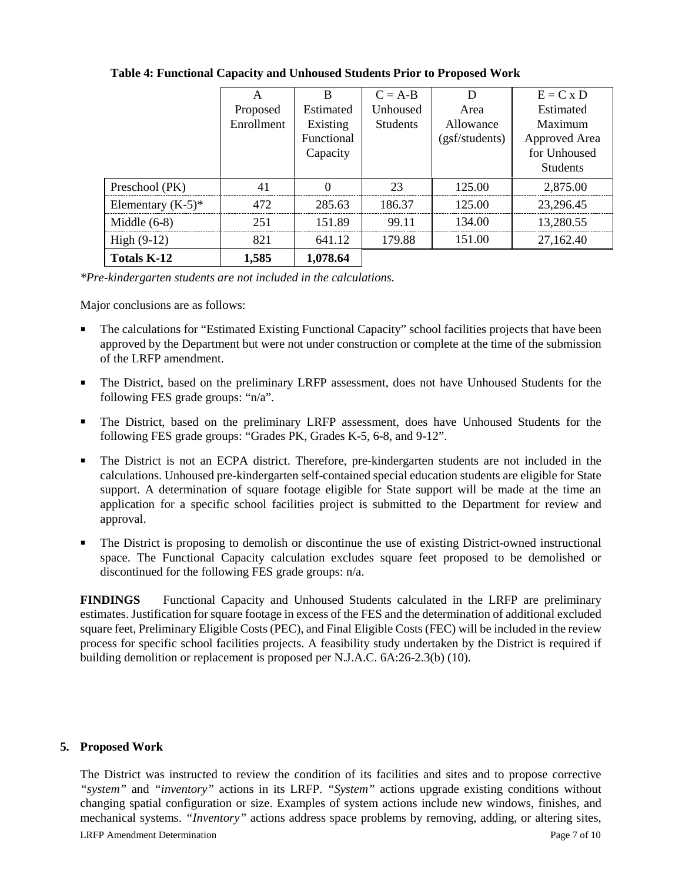|                      | А          | R          | $C = A-B$       | D              | $E = C x D$     |
|----------------------|------------|------------|-----------------|----------------|-----------------|
|                      | Proposed   | Estimated  | Unhoused        | Area           | Estimated       |
|                      | Enrollment | Existing   | <b>Students</b> | Allowance      | Maximum         |
|                      |            | Functional |                 | (gsf/students) | Approved Area   |
|                      |            | Capacity   |                 |                | for Unhoused    |
|                      |            |            |                 |                | <b>Students</b> |
| Preschool (PK)       |            |            | つっ              | 125.00         | 2,875.00        |
| Elementary $(K-5)^*$ | 472        | 285.63     | 186.37          | 125.00         | 23,296.45       |
| Middle $(6-8)$       | 251        | 151.89     | 99 11           | 134.00         | 13,280.55       |
| High $(9-12)$        | 821        | 641.12     | 179.88          | 151.00         | 27,162.40       |
| <b>Totals K-12</b>   | 1,585      | 1,078.64   |                 |                |                 |

#### **Table 4: Functional Capacity and Unhoused Students Prior to Proposed Work**

*\*Pre-kindergarten students are not included in the calculations.* 

Major conclusions are as follows:

- The calculations for "Estimated Existing Functional Capacity" school facilities projects that have been approved by the Department but were not under construction or complete at the time of the submission of the LRFP amendment.
- The District, based on the preliminary LRFP assessment, does not have Unhoused Students for the following FES grade groups: "n/a".
- The District, based on the preliminary LRFP assessment, does have Unhoused Students for the following FES grade groups: "Grades PK, Grades K-5, 6-8, and 9-12".
- The District is not an ECPA district. Therefore, pre-kindergarten students are not included in the calculations. Unhoused pre-kindergarten self-contained special education students are eligible for State support. A determination of square footage eligible for State support will be made at the time an application for a specific school facilities project is submitted to the Department for review and approval.
- The District is proposing to demolish or discontinue the use of existing District-owned instructional space. The Functional Capacity calculation excludes square feet proposed to be demolished or discontinued for the following FES grade groups: n/a.

**FINDINGS** Functional Capacity and Unhoused Students calculated in the LRFP are preliminary estimates. Justification for square footage in excess of the FES and the determination of additional excluded square feet, Preliminary Eligible Costs (PEC), and Final Eligible Costs (FEC) will be included in the review process for specific school facilities projects. A feasibility study undertaken by the District is required if building demolition or replacement is proposed per N.J.A.C. 6A:26-2.3(b) (10).

#### **5. Proposed Work**

The District was instructed to review the condition of its facilities and sites and to propose corrective *"system"* and *"inventory"* actions in its LRFP. *"System"* actions upgrade existing conditions without changing spatial configuration or size. Examples of system actions include new windows, finishes, and mechanical systems. *"Inventory"* actions address space problems by removing, adding, or altering sites,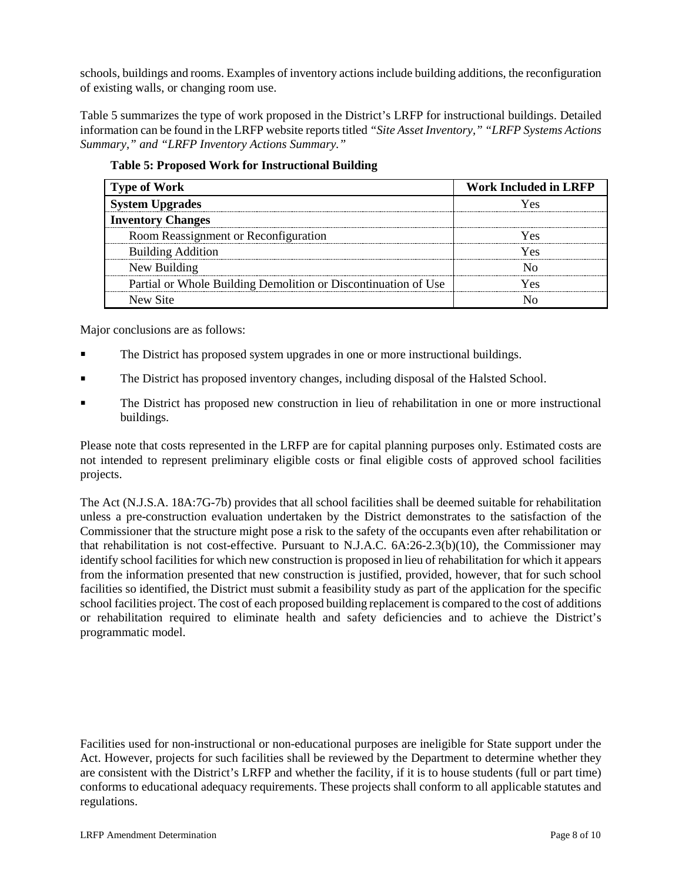schools, buildings and rooms. Examples of inventory actions include building additions, the reconfiguration of existing walls, or changing room use.

Table 5 summarizes the type of work proposed in the District's LRFP for instructional buildings. Detailed information can be found in the LRFP website reports titled *"Site Asset Inventory," "LRFP Systems Actions Summary," and "LRFP Inventory Actions Summary."* 

| <b>Type of Work</b>                                            | <b>Work Included in LRFP</b> |
|----------------------------------------------------------------|------------------------------|
| <b>System Upgrades</b>                                         |                              |
| <b>Inventory Changes</b>                                       |                              |
| Room Reassignment or Reconfiguration                           | ۷Ας                          |
| <b>Building Addition</b>                                       | Yes                          |
| New Building                                                   |                              |
| Partial or Whole Building Demolition or Discontinuation of Use | r es                         |
| New Site                                                       |                              |

**Table 5: Proposed Work for Instructional Building**

Major conclusions are as follows:

- The District has proposed system upgrades in one or more instructional buildings.
- The District has proposed inventory changes, including disposal of the Halsted School.
- The District has proposed new construction in lieu of rehabilitation in one or more instructional buildings.

Please note that costs represented in the LRFP are for capital planning purposes only. Estimated costs are not intended to represent preliminary eligible costs or final eligible costs of approved school facilities projects.

The Act (N.J.S.A. 18A:7G-7b) provides that all school facilities shall be deemed suitable for rehabilitation unless a pre-construction evaluation undertaken by the District demonstrates to the satisfaction of the Commissioner that the structure might pose a risk to the safety of the occupants even after rehabilitation or that rehabilitation is not cost-effective. Pursuant to N.J.A.C. 6A:26-2.3(b)(10), the Commissioner may identify school facilities for which new construction is proposed in lieu of rehabilitation for which it appears from the information presented that new construction is justified, provided, however, that for such school facilities so identified, the District must submit a feasibility study as part of the application for the specific school facilities project. The cost of each proposed building replacement is compared to the cost of additions or rehabilitation required to eliminate health and safety deficiencies and to achieve the District's programmatic model.

Facilities used for non-instructional or non-educational purposes are ineligible for State support under the Act. However, projects for such facilities shall be reviewed by the Department to determine whether they are consistent with the District's LRFP and whether the facility, if it is to house students (full or part time) conforms to educational adequacy requirements. These projects shall conform to all applicable statutes and regulations.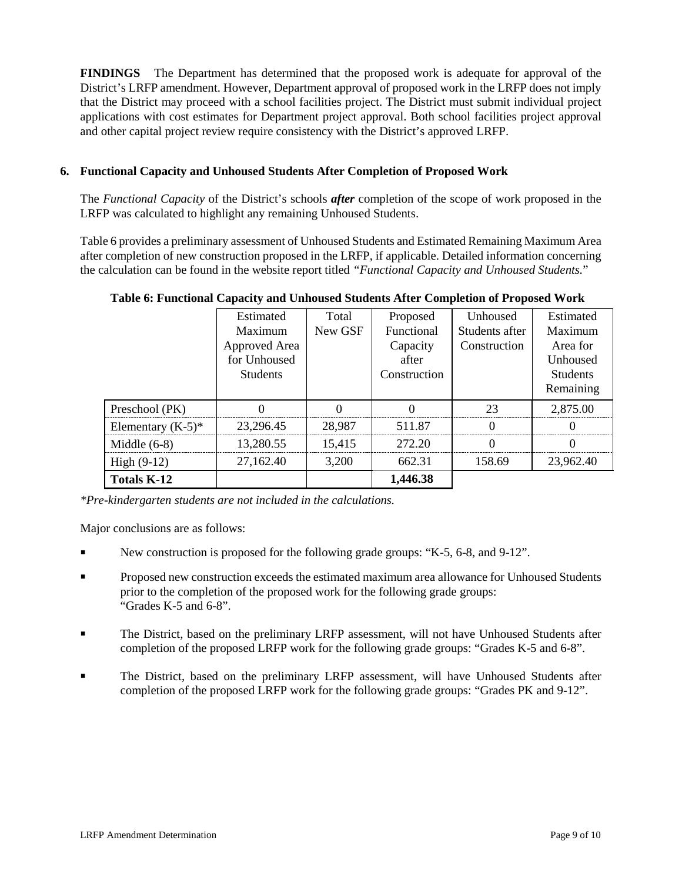**FINDINGS** The Department has determined that the proposed work is adequate for approval of the District's LRFP amendment. However, Department approval of proposed work in the LRFP does not imply that the District may proceed with a school facilities project. The District must submit individual project applications with cost estimates for Department project approval. Both school facilities project approval and other capital project review require consistency with the District's approved LRFP.

# **6. Functional Capacity and Unhoused Students After Completion of Proposed Work**

The *Functional Capacity* of the District's schools *after* completion of the scope of work proposed in the LRFP was calculated to highlight any remaining Unhoused Students.

Table 6 provides a preliminary assessment of Unhoused Students and Estimated Remaining Maximum Area after completion of new construction proposed in the LRFP, if applicable. Detailed information concerning the calculation can be found in the website report titled *"Functional Capacity and Unhoused Students.*"

|                      | Estimated<br>Maximum<br>Approved Area<br>for Unhoused<br><b>Students</b> | Total<br>New GSF | Proposed<br>Functional<br>Capacity<br>after<br>Construction | Unhoused<br>Students after<br>Construction | Estimated<br>Maximum<br>Area for<br>Unhoused<br><b>Students</b><br>Remaining |
|----------------------|--------------------------------------------------------------------------|------------------|-------------------------------------------------------------|--------------------------------------------|------------------------------------------------------------------------------|
| Preschool (PK)       |                                                                          |                  |                                                             | 23                                         | 2,875.00                                                                     |
| Elementary $(K-5)^*$ | 23,296.45                                                                | 28,987           | 511.87                                                      |                                            |                                                                              |
| Middle $(6-8)$       | 13,280.55                                                                | 15,415           | 272.20                                                      |                                            |                                                                              |
| High $(9-12)$        | 27,162.40                                                                | 3,200            | 662.31                                                      | 158.69                                     | 23.962.40                                                                    |
| Totals K-12          |                                                                          |                  | 1,446.38                                                    |                                            |                                                                              |

**Table 6: Functional Capacity and Unhoused Students After Completion of Proposed Work**

*\*Pre-kindergarten students are not included in the calculations.*

Major conclusions are as follows:

- New construction is proposed for the following grade groups: "K-5, 6-8, and 9-12".
- Proposed new construction exceeds the estimated maximum area allowance for Unhoused Students prior to the completion of the proposed work for the following grade groups: "Grades K-5 and 6-8".
- The District, based on the preliminary LRFP assessment, will not have Unhoused Students after completion of the proposed LRFP work for the following grade groups: "Grades K-5 and 6-8".
- The District, based on the preliminary LRFP assessment, will have Unhoused Students after completion of the proposed LRFP work for the following grade groups: "Grades PK and 9-12".